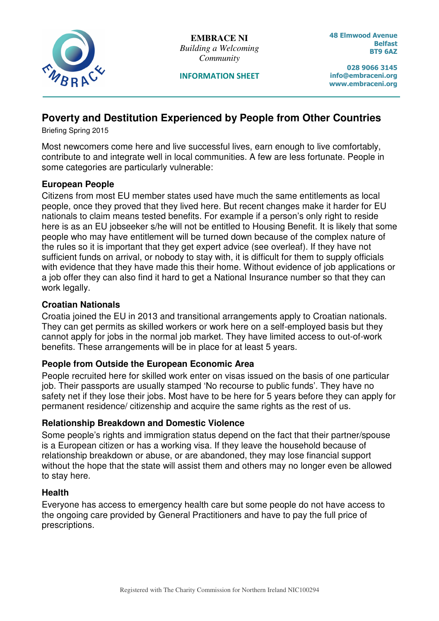

**EMBRACE NI**  *Building a Welcoming Community* 

INFORMATION SHEET

48 Elmwood Avenue Belfast BT9 6AZ

028 9066 3145 info@embraceni.org www.embraceni.org

# **Poverty and Destitution Experienced by People from Other Countries**

Briefing Spring 2015

Most newcomers come here and live successful lives, earn enough to live comfortably, contribute to and integrate well in local communities. A few are less fortunate. People in some categories are particularly vulnerable:

# **European People**

Citizens from most EU member states used have much the same entitlements as local people, once they proved that they lived here. But recent changes make it harder for EU nationals to claim means tested benefits. For example if a person's only right to reside here is as an EU jobseeker s/he will not be entitled to Housing Benefit. It is likely that some people who may have entitlement will be turned down because of the complex nature of the rules so it is important that they get expert advice (see overleaf). If they have not sufficient funds on arrival, or nobody to stay with, it is difficult for them to supply officials with evidence that they have made this their home. Without evidence of job applications or a job offer they can also find it hard to get a National Insurance number so that they can work legally.

# **Croatian Nationals**

Croatia joined the EU in 2013 and transitional arrangements apply to Croatian nationals. They can get permits as skilled workers or work here on a self-employed basis but they cannot apply for jobs in the normal job market. They have limited access to out-of-work benefits. These arrangements will be in place for at least 5 years.

### **People from Outside the European Economic Area**

People recruited here for skilled work enter on visas issued on the basis of one particular job. Their passports are usually stamped 'No recourse to public funds'. They have no safety net if they lose their jobs. Most have to be here for 5 years before they can apply for permanent residence/ citizenship and acquire the same rights as the rest of us.

### **Relationship Breakdown and Domestic Violence**

Some people's rights and immigration status depend on the fact that their partner/spouse is a European citizen or has a working visa. If they leave the household because of relationship breakdown or abuse, or are abandoned, they may lose financial support without the hope that the state will assist them and others may no longer even be allowed to stay here.

### **Health**

Everyone has access to emergency health care but some people do not have access to the ongoing care provided by General Practitioners and have to pay the full price of prescriptions.